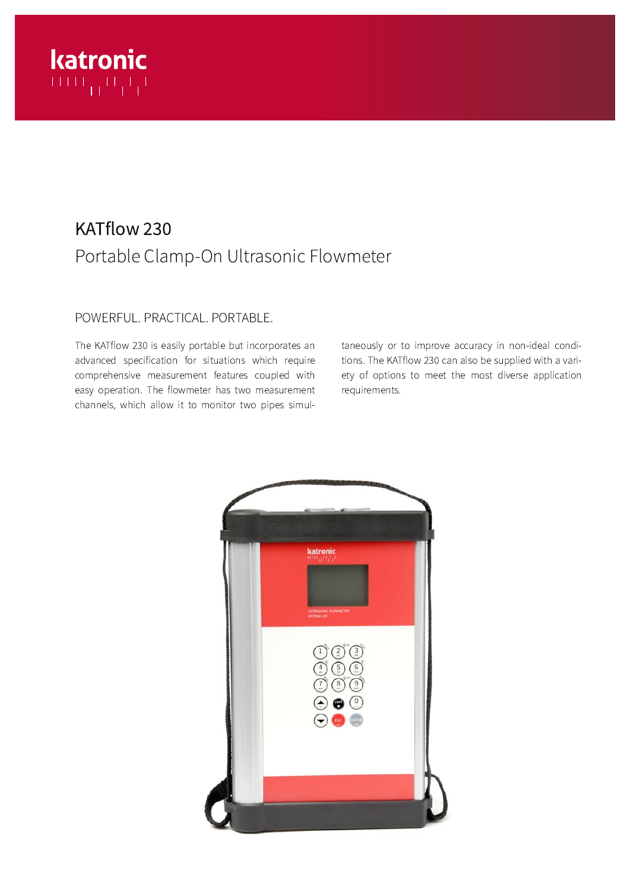# katronic

# KATflow 230 Portable Clamp-On Ultrasonic Flowmeter

# POWERFUL. PRACTICAL. PORTABLE.

The KATflow 230 is easily portable but incorporates an advanced specification for situations which require comprehensive measurement features coupled with easy operation. The flowmeter has two measurement channels, which allow it to monitor two pipes simultaneously or to improve accuracy in non-ideal conditions. The KATflow 230 can also be supplied with a variety of options to meet the most diverse application requirements.

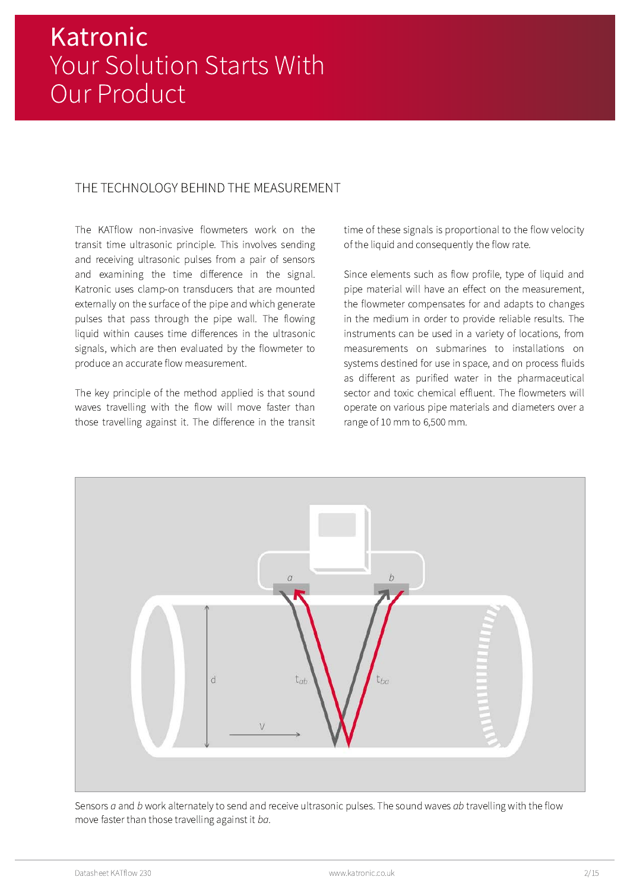# THE TECHNOLOGY BEHIND THE MEASUREMENT

The KATflow non-invasive flowmeters work on the transit time ultrasonic principle. This involves sending and receiving ultrasonic pulses from a pair of sensors and examining the time difference in the signal. Katronic uses clamp-on transducers that are mounted externally on the surface of the pipe and which generate pulses that pass through the pipe wall. The flowing liquid within causes time differences in the ultrasonic signals, which are then evaluated by the flowmeter to produce an accurate flow measurement.

The key principle of the method applied is that sound waves travelling with the flow will move faster than those travelling against it. The difference in the transit time of these signals is proportional to the flow velocity of the liquid and consequently the flow rate.

Since elements such as flow profile, type of liquid and pipe material will have an effect on the measurement, the flowmeter compensates for and adapts to changes in the medium in order to provide reliable results. The instruments can be used in a variety of locations, from measurements on submarines to installations on systems destined for use in space, and on process fluids as different as purified water in the pharmaceutical sector and toxic chemical effluent. The flowmeters will operate on various pipe materials and diameters over a range of 10 mm to 6,500 mm.



Sensors a and b work alternately to send and receive ultrasonic pulses. The sound waves ab travelling with the flow move faster than those travelling against it ba.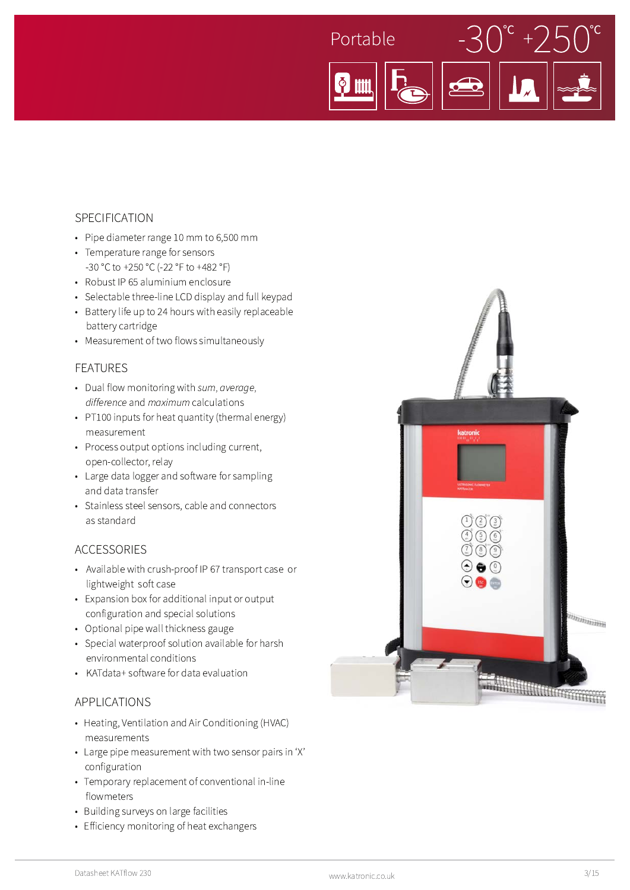

#### SPECIFICATION

- Pipe diameter range 10 mm to 6,500 mm
- Temperature range for sensors -30 °C to +250 °C (-22 °F to +482 °F)
- Robust IP 65 aluminium enclosure
- Selectable three-line LCD display and full keypad
- Battery life up to 24 hours with easily replaceable battery cartridge
- Measurement of two flows simultaneously

#### **FEATURES**

- Dual flow monitoring with sum, average, difference and maximum calculations
- PT100 inputs for heat quantity (thermal energy) measurement
- Process output options including current, open-collector, relay
- Large data logger and software for sampling and data transfer
- Stainless steel sensors, cable and connectors as standard

#### **ACCESSORIES**

- Available with crush-proof IP 67 transport case or lightweight soft case
- Expansion box for additional input or output configuration and special solutions
- Optional pipe wall thickness gauge
- Special waterproof solution available for harsh environmental conditions
- KATdata+ software for data evaluation

#### **APPLICATIONS**

- Heating, Ventilation and Air Conditioning (HVAC) measurements
- Large pipe measurement with two sensor pairs in 'X' configuration
- Temporary replacement of conventional in-line flowmeters
- Building surveys on large facilities
- Efficiency monitoring of heat exchangers

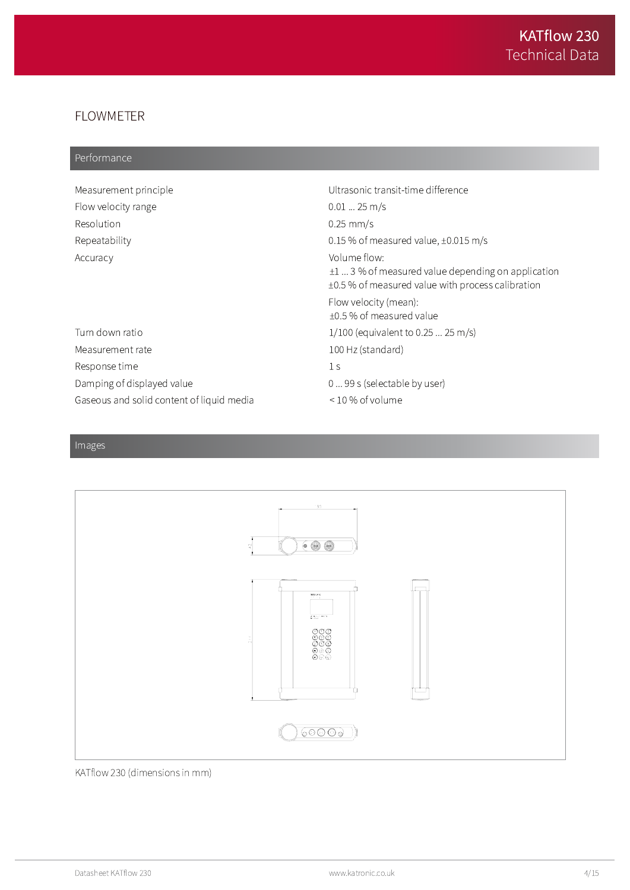# **FLOWMETER**

# Performance

| Measurement principle                     | Ultrasonic transit-time difference                                                                                          |
|-------------------------------------------|-----------------------------------------------------------------------------------------------------------------------------|
| Flow velocity range                       | $0.0125$ m/s                                                                                                                |
| Resolution                                | $0.25$ mm/s                                                                                                                 |
| Repeatability                             | 0.15 % of measured value, $\pm 0.015$ m/s                                                                                   |
| Accuracy                                  | Volume flow:<br>$\pm 1$ 3 % of measured value depending on application<br>±0.5 % of measured value with process calibration |
|                                           | Flow velocity (mean):<br>±0.5 % of measured value                                                                           |
| Turn down ratio                           | $1/100$ (equivalent to 0.25  25 m/s)                                                                                        |
| Measurement rate                          | 100 Hz (standard)                                                                                                           |
| Response time                             | 1 <sup>5</sup>                                                                                                              |
| Damping of displayed value                | 0  99 s (selectable by user)                                                                                                |
| Gaseous and solid content of liquid media | $\leq$ 10 % of volume                                                                                                       |

# $\overline{\text{Images}}$



#### KATflow 230 (dimensions in mm)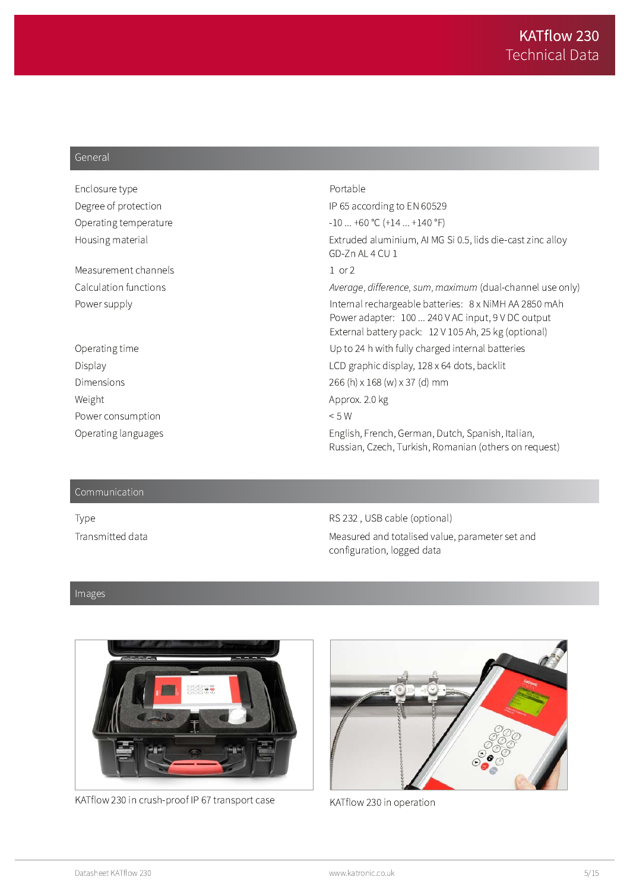#### General

| Enclosure type        | Portable                                                                                                                                                           |
|-----------------------|--------------------------------------------------------------------------------------------------------------------------------------------------------------------|
| Degree of protection  | IP 65 according to EN 60529                                                                                                                                        |
| Operating temperature | $-10+60$ °C $(+14+140$ °F)                                                                                                                                         |
| Housing material      | Extruded aluminium, AI MG Si 0.5, lids die-cast zinc alloy<br>GD-Zn AL 4 CU 1                                                                                      |
| Measurement channels  | $1$ or $2$                                                                                                                                                         |
| Calculation functions | Average, difference, sum, maximum (dual-channel use only)                                                                                                          |
| Power supply          | Internal rechargeable batteries: 8 x NiMH AA 2850 mAh<br>Power adapter: 100  240 V AC input, 9 V DC output<br>External battery pack: 12 V 105 Ah, 25 kg (optional) |
| Operating time        | Up to 24 h with fully charged internal batteries                                                                                                                   |
| Display               | LCD graphic display, 128 x 64 dots, backlit                                                                                                                        |
| Dimensions            | 266 (h) x 168 (w) x 37 (d) mm                                                                                                                                      |
| Weight                | Approx. 2.0 kg                                                                                                                                                     |
| Power consumption     | < 5 W                                                                                                                                                              |
| Operating languages   | English, French, German, Dutch, Spanish, Italian,<br>Russian, Czech, Turkish, Romanian (others on request)                                                         |

#### Communication

Type Transmitted data

RS 232, USB cable (optional) Measured and totalised value, parameter set and configuration, logged data

#### Images



KATflow 230 in crush-proof IP 67 transport case



KATflow 230 in operation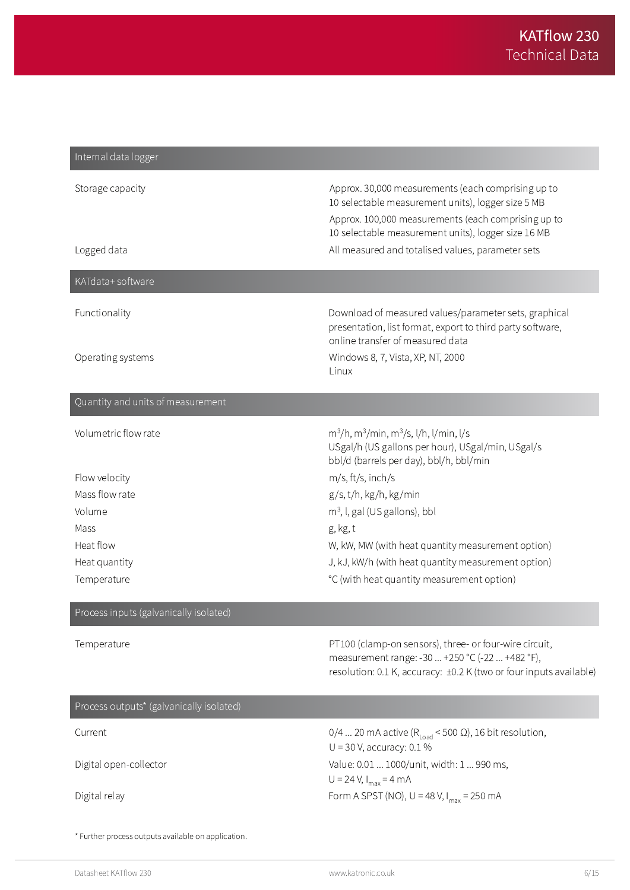| Internal data logger                                |                                                                                                                                                                                                                        |
|-----------------------------------------------------|------------------------------------------------------------------------------------------------------------------------------------------------------------------------------------------------------------------------|
| Storage capacity                                    | Approx. 30,000 measurements (each comprising up to<br>10 selectable measurement units), logger size 5 MB<br>Approx. 100,000 measurements (each comprising up to<br>10 selectable measurement units), logger size 16 MB |
| Logged data                                         | All measured and totalised values, parameter sets                                                                                                                                                                      |
| KATdata+ software                                   |                                                                                                                                                                                                                        |
| Functionality                                       | Download of measured values/parameter sets, graphical<br>presentation, list format, export to third party software,<br>online transfer of measured data                                                                |
| Operating systems                                   | Windows 8, 7, Vista, XP, NT, 2000<br>Linux                                                                                                                                                                             |
| Quantity and units of measurement                   |                                                                                                                                                                                                                        |
| Volumetric flow rate                                | $m^3/h$ , m $^3/m$ in, m $^3/s$ , l/h, l/min, l/s<br>USgal/h (US gallons per hour), USgal/min, USgal/s<br>bbl/d (barrels per day), bbl/h, bbl/min                                                                      |
| Flow velocity                                       | m/s, ft/s, inch/s                                                                                                                                                                                                      |
| Mass flow rate                                      | g/s, t/h, kg/h, kg/min                                                                                                                                                                                                 |
| Volume                                              | $m3$ , I, gal (US gallons), bbl                                                                                                                                                                                        |
| Mass                                                | g, kg, t                                                                                                                                                                                                               |
| Heat flow                                           | W, kW, MW (with heat quantity measurement option)                                                                                                                                                                      |
| Heat quantity<br>Temperature                        | J, kJ, kW/h (with heat quantity measurement option)<br>°C (with heat quantity measurement option)                                                                                                                      |
| Process inputs (galvanically isolated)              |                                                                                                                                                                                                                        |
| Temperature                                         | PT100 (clamp-on sensors), three- or four-wire circuit,<br>measurement range: -30  +250 °C (-22  +482 °F),<br>resolution: 0.1 K, accuracy: ±0.2 K (two or four inputs available)                                        |
| Process outputs* (galvanically isolated)            |                                                                                                                                                                                                                        |
| Current                                             | 0/4  20 mA active ( $R_{load}$ < 500 $\Omega$ ), 16 bit resolution,<br>$U = 30$ V, accuracy: 0.1%                                                                                                                      |
| Digital open-collector                              | Value: 0.01  1000/unit, width: 1  990 ms,<br>$U = 24 V, I_{max} = 4 mA$                                                                                                                                                |
| Digital relay                                       | Form A SPST (NO), $U = 48 V$ , $I_{max} = 250 mA$                                                                                                                                                                      |
| * Further process outputs available on application. |                                                                                                                                                                                                                        |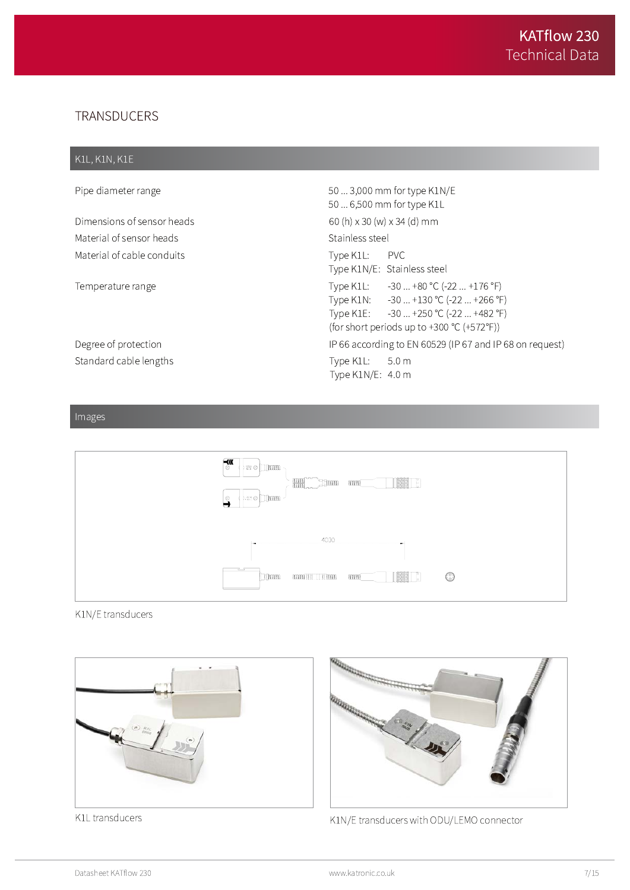# TRANSDUCERS

#### K1L, K1N, K1E

Pipe diameter range that the same state of the state of the state of the S0 ... 3,000 mm for type K1N/E 50 ... 6,500 mm for type K1L Dimensions of sensor heads  $(60(h) \times 30(W) \times 34(d) \text{ mm})$ Material of sensor heads and the sensor heads and the sensor of the sensor  $\alpha$  is  $\alpha$  is  $\alpha$  is  $\alpha$  is  $\alpha$  is  $\alpha$  is  $\alpha$  is  $\alpha$  is  $\alpha$  is  $\alpha$  is  $\alpha$  is  $\alpha$  is  $\alpha$  is  $\alpha$  is  $\alpha$  is  $\alpha$  is  $\alpha$  is  $\alpha$  is  $\alpha$ Material of cable conduits Type K1L: PVC Type K1N/E: Stainless steel Temperature range and the state of the state of the Type K1L: .1L: -30 ... +80 °C (-22 ... +176 °F) Type K1N: .1N: -30 ... +130 °C (-22 ... +266 °F) Type K1E: .1E: -30 ... +250 °C (-22 ... +482 °F) (for short periods up to +300 °C (+572°F)) Degree of protection **Example 20** 1980 IP 66 according to EN 60529 (IP 67 and IP 68 on request) Standard cable lengths Type K1L:  $5.0<sub>m</sub>$ Type K1N/E: 4.0 m

#### Images



#### K1N/E transducers





K1L transducers and the set of the SAT MOST METAL STATE CONTROL CONTROL CONTROL CONNECTION METAL STATE STATE S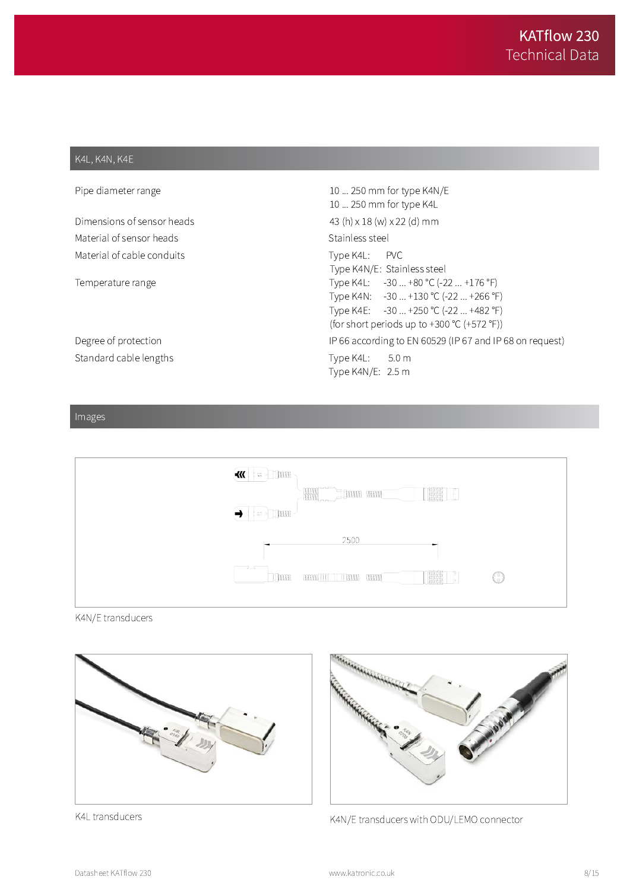#### K4L, K4N, K4E

| Pipe diameter range        | 10  250 mm for type K4N/E<br>10  250 mm for type K4L                                                                                                                  |
|----------------------------|-----------------------------------------------------------------------------------------------------------------------------------------------------------------------|
| Dimensions of sensor heads | 43 (h) $\times$ 18 (w) $\times$ 22 (d) mm                                                                                                                             |
| Material of sensor heads   | Stainless steel                                                                                                                                                       |
| Material of cable conduits | Type K4L: PVC<br>Type K4N/E: Stainless steel                                                                                                                          |
| Temperature range          | Type K4L: -30  +80 °C (-22  +176 °F)<br>Type K4N: -30  +130 °C (-22  +266 °F)<br>Type K4E: -30  +250 °C (-22  +482 °F)<br>(for short periods up to +300 °C (+572 °F)) |
| Degree of protection       | IP 66 according to EN 60529 (IP 67 and IP 68 on request)                                                                                                              |
| Standard cable lengths     | Type K4L: 5.0 m<br>Type K4N/E: 2.5 m                                                                                                                                  |

# Images



#### K4N/E transducers



K4L transducers



K4N/E transducers with ODU/LEMO connector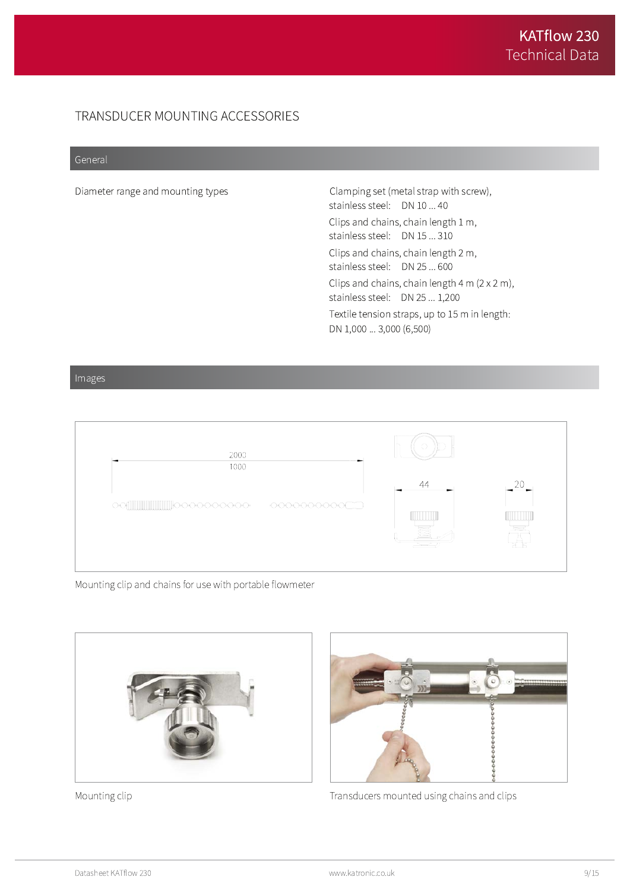# TRANSDUCER MOUNTING ACCESSORIES

#### General

Diameter range and mounting types

Clamping set (metal strap with screw), stainless steel: DN 10 ... 40 Clips and chains, chain length 1 m, stainless steel: DN 15 ... 310 Clips and chains, chain length 2 m, stainless steel: DN 25 ... 600 Clips and chains, chain length  $4 \text{ m} (2 \times 2 \text{ m})$ , stainless steel: DN 25 ... 1,200 Textile tension straps, up to 15 m in length: DN 1,000 ... 3,000 (6,500)

Images



Mounting clip and chains for use with portable flowmeter



Mounting clip



Transducers mounted using chains and clips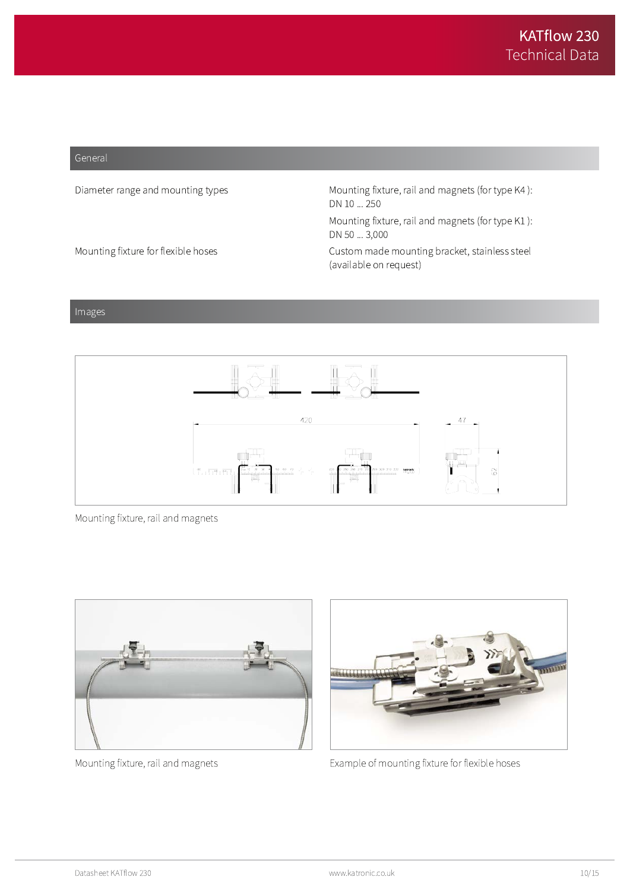#### General

Diameter range and mounting types

Mounting fixture for flexible hoses

Mounting fixture, rail and magnets (for type K4): DN 10 ... 250

Mounting fixture, rail and magnets (for type K1): DN 50 ... 3,000

Custom made mounting bracket, stainless steel (available on request)

#### Images



Mounting fixture, rail and magnets



Mounting fixture, rail and magnets



Example of mounting fixture for flexible hoses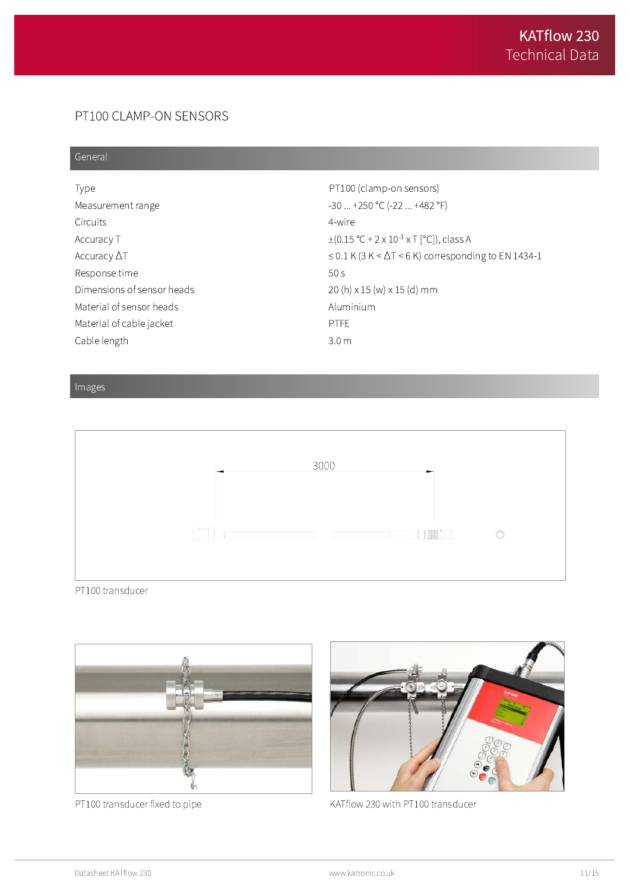# PT100 CLAMP-ON SENSORS

#### General

| Type                       | PT100 (clamp-on sensors)                                               |
|----------------------------|------------------------------------------------------------------------|
| Measurement range          | $-30$ $+250$ °C ( $-22$ $+482$ °F)                                     |
| <b>Circuits</b>            | 4-wire                                                                 |
| Accuracy T                 | $\pm (0.15 \degree C + 2 \times 10^{-3} \times T \degree C)$ , class A |
| Accuracy $\Delta T$        | $\leq$ 0.1 K (3 K < $\Delta$ T < 6 K) corresponding to EN 1434-1       |
| Response time              | 50 <sub>S</sub>                                                        |
| Dimensions of sensor heads | $20(h) \times 15(W) \times 15(d)$ mm                                   |
| Material of sensor heads   | Aluminium                                                              |
| Material of cable jacket   | <b>PTFE</b>                                                            |
| Cable length               | 3.0 <sub>m</sub>                                                       |

#### Images



PT100 transducer



PT100 transducer fixed to pipe



KATflow 230 with PT100 transducer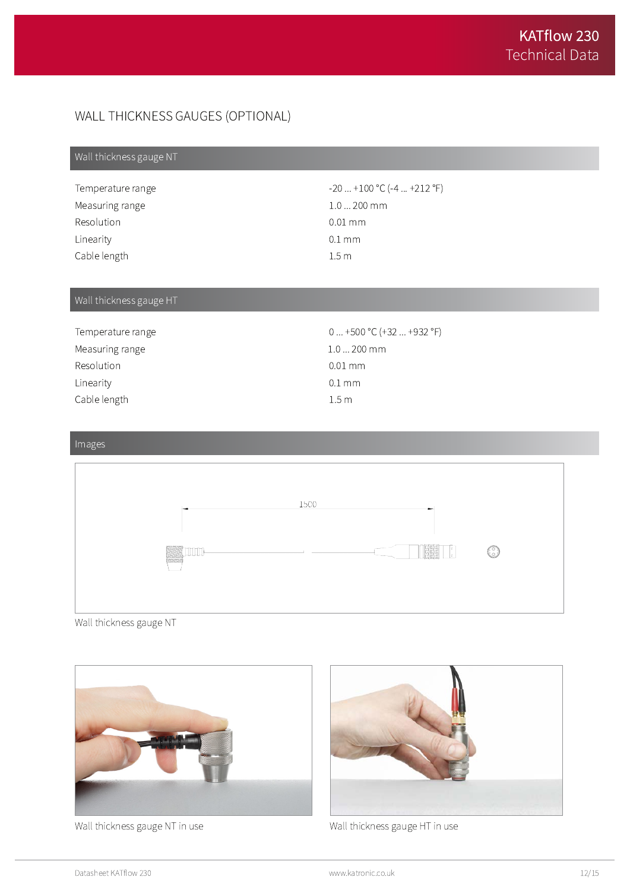# WALL THICKNESS GAUGES (OPTIONAL)

# Wall thickness gauge NT

| Temperature range | $-20$ $+100$ °C (-4 $+212$ °F) |
|-------------------|--------------------------------|
| Measuring range   | $1.0200$ mm                    |
| Resolution        | $0.01 \,\mathrm{mm}$           |
| Linearity         | $0.1 \text{ mm}$               |
| Cable length      | 1.5m                           |

# Wall thickness gauge HT

| Temperature range | $0+500$ °C (+32  +932 °F) |
|-------------------|---------------------------|
| Measuring range   | $1.0200$ mm               |
| Resolution        | $0.01 \, \mathrm{mm}$     |
| Linearity         | $0.1 \text{ mm}$          |
| Cable length      | 1.5 <sub>m</sub>          |

# Images



Wall thickness gauge NT



Wall thickness gauge NT in use



Wall thickness gauge HT in use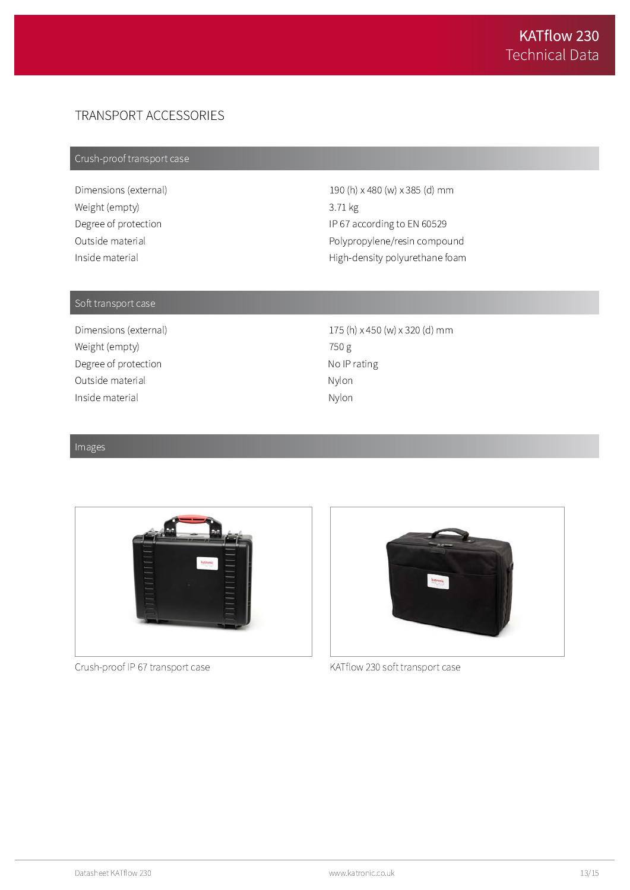# TRANSPORT ACCESSORIES

# Crush-proof transport case

Dimensions (external) Weight (empty) Degree of protection Outside material Inside material

190 (h) x 480 (w) x 385 (d) mm 3.71 kg IP 67 according to EN 60529 Polypropylene/resin compound High-density polyurethane foam

#### Soft transport case

Dimensions (external) Weight (empty) Degree of protection Outside material Inside material

175 (h) x 450 (w) x 320 (d) mm 750 g No IP rating Nylon Nylon

#### Images



Crush-proof IP 67 transport case



KATflow 230 soft transport case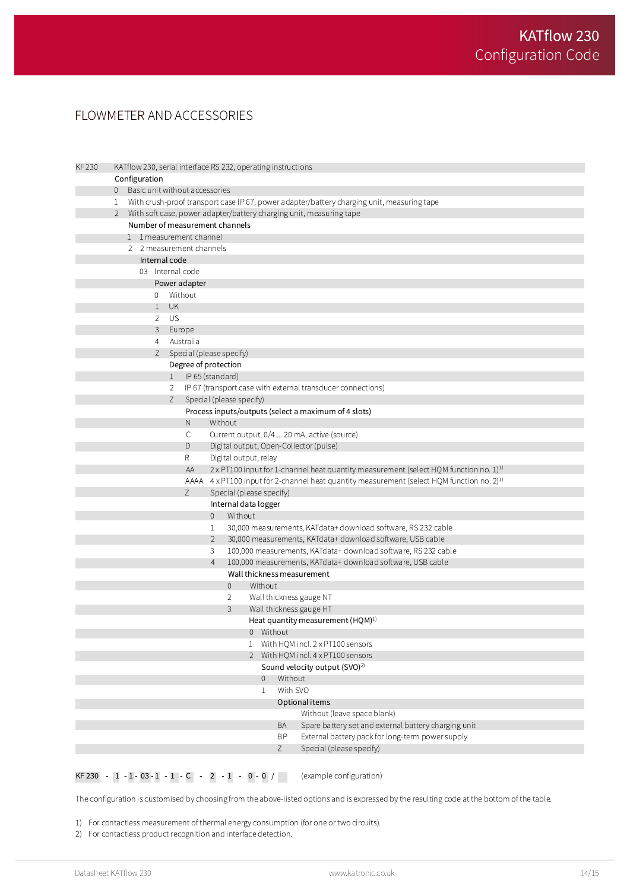# FLOWMETER AND ACCESSORIES

| <b>KF 230</b> |                                           | KATflow 230, serial interface RS 232, operating instructions |                                                                                            |                                  |                          |              |          |                                                                                                          |  |  |
|---------------|-------------------------------------------|--------------------------------------------------------------|--------------------------------------------------------------------------------------------|----------------------------------|--------------------------|--------------|----------|----------------------------------------------------------------------------------------------------------|--|--|
|               |                                           | Configuration                                                |                                                                                            |                                  |                          |              |          |                                                                                                          |  |  |
|               |                                           |                                                              |                                                                                            | 0 Basic unit without accessories |                          |              |          |                                                                                                          |  |  |
|               | 1                                         |                                                              | With crush-proof transport case IP 67, power adapter/battery charging unit, measuring tape |                                  |                          |              |          |                                                                                                          |  |  |
|               | $\mathbf{2}$                              |                                                              | With soft case, power adapter/battery charging unit, measuring tape                        |                                  |                          |              |          |                                                                                                          |  |  |
|               | Number of measurement channels            |                                                              |                                                                                            |                                  |                          |              |          |                                                                                                          |  |  |
|               |                                           | 1 1 measurement channel                                      |                                                                                            |                                  |                          |              |          |                                                                                                          |  |  |
|               | 2 2 measurement channels<br>Internal code |                                                              |                                                                                            |                                  |                          |              |          |                                                                                                          |  |  |
|               |                                           |                                                              |                                                                                            |                                  |                          |              |          |                                                                                                          |  |  |
|               |                                           | 03 Internal code                                             |                                                                                            |                                  |                          |              |          |                                                                                                          |  |  |
|               | Power adapter                             |                                                              |                                                                                            |                                  |                          |              |          |                                                                                                          |  |  |
|               |                                           | $\mathbf{0}$                                                 |                                                                                            | Without                          |                          |              |          |                                                                                                          |  |  |
|               |                                           | $\mathbf{1}$                                                 | <b>UK</b>                                                                                  |                                  |                          |              |          |                                                                                                          |  |  |
|               | US<br>2                                   |                                                              |                                                                                            |                                  |                          |              |          |                                                                                                          |  |  |
|               |                                           | 3<br>Europe                                                  |                                                                                            |                                  |                          |              |          |                                                                                                          |  |  |
|               |                                           | 4                                                            |                                                                                            | Australia                        |                          |              |          |                                                                                                          |  |  |
|               |                                           | Z.                                                           |                                                                                            |                                  | Special (please specify) |              |          |                                                                                                          |  |  |
|               |                                           |                                                              |                                                                                            |                                  | Degree of protection     |              |          |                                                                                                          |  |  |
|               |                                           |                                                              | 1                                                                                          |                                  | IP 65 (standard)         |              |          |                                                                                                          |  |  |
|               |                                           |                                                              | $\mathbf{2}^{\prime}$<br>Ζ                                                                 |                                  | Special (please specify) |              |          | IP 67 (transport case with external transducer connections)                                              |  |  |
|               |                                           |                                                              |                                                                                            |                                  |                          |              |          | Process inputs/outputs (select a maximum of 4 slots)                                                     |  |  |
|               |                                           |                                                              |                                                                                            | N                                | Without                  |              |          |                                                                                                          |  |  |
|               |                                           |                                                              |                                                                                            | С                                |                          |              |          | Current output, 0/4  20 mA, active (source)                                                              |  |  |
|               |                                           |                                                              |                                                                                            | D                                |                          |              |          | Digital output, Open-Collector (pulse)                                                                   |  |  |
|               |                                           |                                                              |                                                                                            | R                                | Digital output, relay    |              |          |                                                                                                          |  |  |
|               |                                           |                                                              |                                                                                            | ΑA                               |                          |              |          | $2 \times$ PT100 input for 1-channel heat quantity measurement (select HQM function no. 1) <sup>1)</sup> |  |  |
|               |                                           |                                                              |                                                                                            | aaaa                             |                          |              |          | 4 x PT100 input for 2-channel heat quantity measurement (select HQM function no. 2) <sup>1)</sup>        |  |  |
|               |                                           |                                                              |                                                                                            | Ζ                                | Special (please specify) |              |          |                                                                                                          |  |  |
|               |                                           |                                                              |                                                                                            |                                  | Internal data logger     |              |          |                                                                                                          |  |  |
|               |                                           |                                                              |                                                                                            |                                  | Without<br>0             |              |          |                                                                                                          |  |  |
|               |                                           |                                                              |                                                                                            |                                  | 1                        |              |          | 30,000 measurements, KATdata+ download software, RS 232 cable                                            |  |  |
|               |                                           |                                                              |                                                                                            |                                  | $\overline{2}$           |              |          | 30,000 measurements, KATdata+ download software, USB cable                                               |  |  |
|               |                                           |                                                              |                                                                                            |                                  | 3                        |              |          | 100,000 measurements, KATdata+ download software, RS 232 cable                                           |  |  |
|               |                                           |                                                              |                                                                                            |                                  | $\overline{4}$           |              |          | 100,000 measurements, KATdata+ download software, USB cable                                              |  |  |
|               |                                           |                                                              |                                                                                            |                                  |                          |              |          | Wall thickness measurement                                                                               |  |  |
|               |                                           |                                                              |                                                                                            |                                  | $\mathbf{0}$             | Without      |          |                                                                                                          |  |  |
|               |                                           |                                                              |                                                                                            |                                  | 2                        |              |          | Wall thickness gauge NT                                                                                  |  |  |
|               |                                           |                                                              |                                                                                            |                                  | 3                        |              |          | Wall thickness gauge HT                                                                                  |  |  |
|               |                                           |                                                              |                                                                                            |                                  |                          |              |          | Heat quantity measurement (HQM) <sup>1)</sup>                                                            |  |  |
|               |                                           |                                                              |                                                                                            |                                  |                          | 0 Without    |          | With HQM incl. 2 x PT100 sensors                                                                         |  |  |
|               |                                           |                                                              |                                                                                            |                                  |                          | $\mathbf{1}$ |          |                                                                                                          |  |  |
|               |                                           |                                                              |                                                                                            |                                  |                          |              |          | 2 With HQM incl. 4 x PT100 sensors<br>Sound velocity output (SVO) <sup>2)</sup>                          |  |  |
|               |                                           |                                                              |                                                                                            |                                  |                          | $\theta$     | Without  |                                                                                                          |  |  |
|               |                                           |                                                              |                                                                                            |                                  |                          | 1            | With SVO |                                                                                                          |  |  |
|               |                                           |                                                              |                                                                                            |                                  |                          |              |          | Optional items                                                                                           |  |  |
|               |                                           |                                                              |                                                                                            |                                  |                          |              |          | Without (leave space blank)                                                                              |  |  |
|               |                                           |                                                              |                                                                                            |                                  |                          |              | BA       | Spare battery set and external battery charging unit                                                     |  |  |
|               |                                           |                                                              |                                                                                            |                                  |                          |              | BP       | External battery pack for long-term power supply                                                         |  |  |
|               |                                           |                                                              |                                                                                            |                                  |                          |              | Z        | Special (please specify)                                                                                 |  |  |
|               |                                           |                                                              |                                                                                            |                                  |                          |              |          |                                                                                                          |  |  |

#### **KF 230** -  $1 - 1 - 03 - 1 - 1 - C$  -  $2 - 1 - 0 - 0$  / (example configuration)

The configuration is customised by choosing from the above-listed options and is expressed by the resulting code at the bottom of the table.

1) For contactless measurement of thermal energy consumption (for one or two circuits).

2) For contactless product recognition and interface detection.